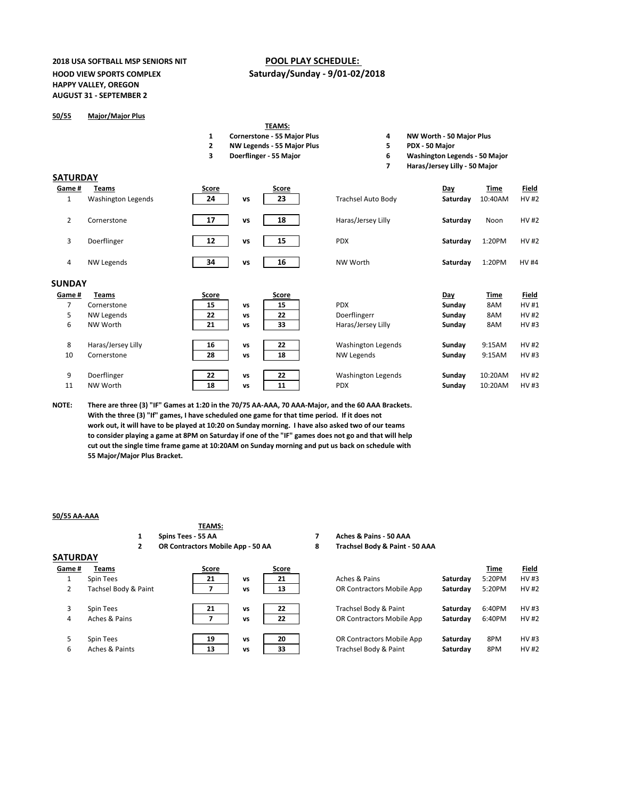# **2018 USA SOFTBALL MSP SENIORS NIT POOL PLAY SCHEDULE: HAPPY VALLEY, OREGON AUGUST 31 - SEPTEMBER 2**

# **HOOD VIEW SPORTS COMPLEX Saturday/Sunday - 9/01-02/2018**

### **50/55 Major/Major Plus**

# **TEAMS:**

- **1 Cornerstone 55 Major Plus 4 NW Worth 50 Major Plus**
- **2 NW Legends 55 Major Plus 5 PDX 50 Major**
- 
- 
- 
- **3 Doerflinger 55 Major 6 Washington Legends 50 Major**
	- **7 Haras/Jersey Lilly 50 Major**

#### **SATURDAY**

| Game #         | Teams              | <b>Score</b> |           | <b>Score</b> |                           | Day           | <b>Time</b> | <b>Field</b> |
|----------------|--------------------|--------------|-----------|--------------|---------------------------|---------------|-------------|--------------|
| $\mathbf{1}$   | Washington Legends | 24           | <b>VS</b> | 23           | <b>Trachsel Auto Body</b> | Saturday      | 10:40AM     | <b>HV#2</b>  |
| $\overline{2}$ | Cornerstone        | 17           | <b>VS</b> | 18           | Haras/Jersey Lilly        | Saturday      | Noon        | <b>HV#2</b>  |
| 3              | Doerflinger        | 12           | <b>VS</b> | 15           | <b>PDX</b>                | Saturday      | 1:20PM      | <b>HV#2</b>  |
| 4              | <b>NW Legends</b>  | 34           | <b>VS</b> | 16           | NW Worth                  | Saturday      | 1:20PM      | <b>HV#4</b>  |
| <b>SUNDAY</b>  |                    |              |           |              |                           |               |             |              |
|                |                    |              |           |              |                           |               |             |              |
| Game #         | <b>Teams</b>       | <b>Score</b> |           | <b>Score</b> |                           | <b>Day</b>    | <b>Time</b> | <b>Field</b> |
| 7              | Cornerstone        | 15           | <b>VS</b> | 15           | <b>PDX</b>                | Sunday        | 8AM         | <b>HV#1</b>  |
| 5              | NW Legends         | 22           | <b>VS</b> | 22           | Doerflingerr              | <b>Sunday</b> | 8AM         | <b>HV#2</b>  |
| 6              | NW Worth           | 21           | <b>VS</b> | 33           | Haras/Jersey Lilly        | Sunday        | 8AM         | <b>HV#3</b>  |
| 8              | Haras/Jersey Lilly | 16           | <b>VS</b> | 22           | <b>Washington Legends</b> | Sunday        | 9:15AM      | <b>HV#2</b>  |
| 10             | Cornerstone        | 28           | <b>VS</b> | 18           | NW Legends                | <b>Sunday</b> | 9:15AM      | HV#3         |
| 9              | Doerflinger        | 22           | <b>VS</b> | 22           | <b>Washington Legends</b> | Sunday        | 10:20AM     | <b>HV#2</b>  |

**0R Contractors Mobile App <b>Saturday** 8PM HV #3 6 Aches & Paints **13 vs 33** Trachsel Body & Paint **Saturday** 8PM HV #2

**NOTE: There are three (3) "IF" Games at 1:20 in the 70/75 AA-AAA, 70 AAA-Major, and the 60 AAA Brackets. With the three (3) "If" games, I have scheduled one game for that time period. If it does not work out, it will have to be played at 10:20 on Sunday morning. I have also asked two of our teams to consider playing a game at 8PM on Saturday if one of the "IF" games does not go and that will help cut out the single time frame game at 10:20AM on Sunday morning and put us back on schedule with 55 Major/Major Plus Bracket.** 

# **50/55 AA-AAA**

| 5U/55 AA-AAA    |                      |                                   |           |              |   |                                   |          |             |              |
|-----------------|----------------------|-----------------------------------|-----------|--------------|---|-----------------------------------|----------|-------------|--------------|
|                 |                      | <b>TEAMS:</b>                     |           |              |   |                                   |          |             |              |
|                 |                      | Spins Tees - 55 AA                |           |              |   | <b>Aches &amp; Pains - 50 AAA</b> |          |             |              |
|                 |                      | OR Contractors Mobile App - 50 AA |           |              | 8 | Trachsel Body & Paint - 50 AAA    |          |             |              |
| <b>SATURDAY</b> |                      |                                   |           |              |   |                                   |          |             |              |
| Game#           | Teams                | <b>Score</b>                      |           | <b>Score</b> |   |                                   |          | <b>Time</b> | <b>Field</b> |
| ┻.              | Spin Tees            | 21                                | <b>VS</b> | 21           |   | Aches & Pains                     | Saturday | 5:20PM      | <b>HV#3</b>  |
| 2               | Tachsel Body & Paint |                                   | <b>VS</b> | 13           |   | OR Contractors Mobile App         | Saturday | 5:20PM      | <b>HV#2</b>  |
| 3               | Spin Tees            | 21                                | <b>VS</b> | 22           |   | Trachsel Body & Paint             | Saturday | 6:40PM      | <b>HV#3</b>  |
| 4               | Aches & Pains        |                                   | <b>VS</b> | 22           |   | OR Contractors Mobile App         | Saturday | 6:40PM      | <b>HV#2</b>  |

|  | Spin Tees |  |
|--|-----------|--|
|--|-----------|--|

| -- |  |
|----|--|
|    |  |